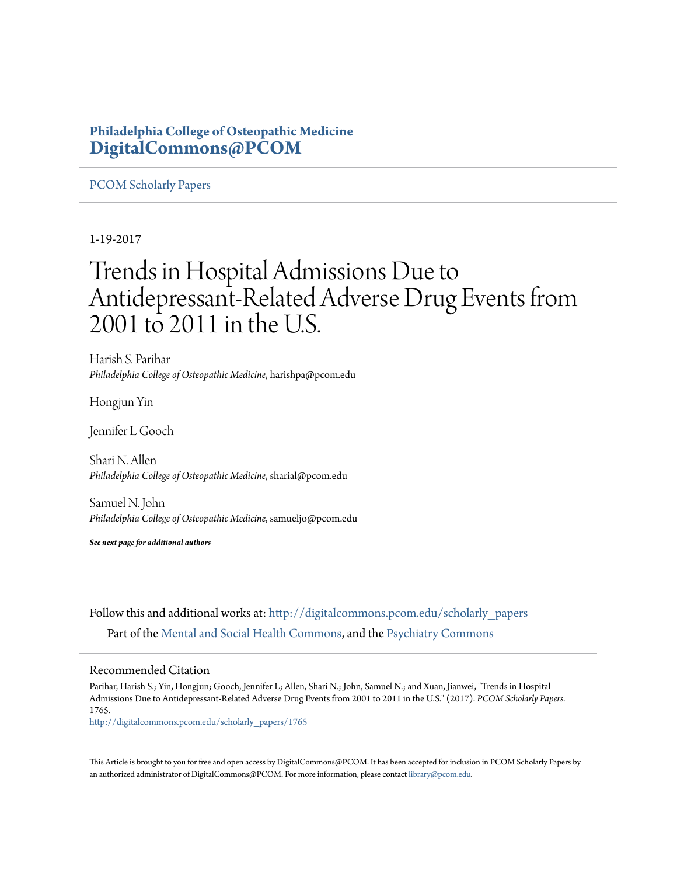## **Philadelphia College of Osteopathic Medicine [DigitalCommons@PCOM](http://digitalcommons.pcom.edu?utm_source=digitalcommons.pcom.edu%2Fscholarly_papers%2F1765&utm_medium=PDF&utm_campaign=PDFCoverPages)**

## [PCOM Scholarly Papers](http://digitalcommons.pcom.edu/scholarly_papers?utm_source=digitalcommons.pcom.edu%2Fscholarly_papers%2F1765&utm_medium=PDF&utm_campaign=PDFCoverPages)

## 1-19-2017

# Trends in Hospital Admissions Due to Antidepressant-Related Adverse Drug Events from 2001 to 2011 in the U.S.

Harish S. Parihar *Philadelphia College of Osteopathic Medicine*, harishpa@pcom.edu

Hongjun Yin

Jennifer L Gooch

Shari N. Allen *Philadelphia College of Osteopathic Medicine*, sharial@pcom.edu

Samuel N. John *Philadelphia College of Osteopathic Medicine*, samueljo@pcom.edu

*See next page for additional authors*

Follow this and additional works at: [http://digitalcommons.pcom.edu/scholarly\\_papers](http://digitalcommons.pcom.edu/scholarly_papers?utm_source=digitalcommons.pcom.edu%2Fscholarly_papers%2F1765&utm_medium=PDF&utm_campaign=PDFCoverPages) Part of the [Mental and Social Health Commons](http://network.bepress.com/hgg/discipline/709?utm_source=digitalcommons.pcom.edu%2Fscholarly_papers%2F1765&utm_medium=PDF&utm_campaign=PDFCoverPages), and the [Psychiatry Commons](http://network.bepress.com/hgg/discipline/704?utm_source=digitalcommons.pcom.edu%2Fscholarly_papers%2F1765&utm_medium=PDF&utm_campaign=PDFCoverPages)

## Recommended Citation

Parihar, Harish S.; Yin, Hongjun; Gooch, Jennifer L; Allen, Shari N.; John, Samuel N.; and Xuan, Jianwei, "Trends in Hospital Admissions Due to Antidepressant-Related Adverse Drug Events from 2001 to 2011 in the U.S." (2017). *PCOM Scholarly Papers*. 1765.

[http://digitalcommons.pcom.edu/scholarly\\_papers/1765](http://digitalcommons.pcom.edu/scholarly_papers/1765?utm_source=digitalcommons.pcom.edu%2Fscholarly_papers%2F1765&utm_medium=PDF&utm_campaign=PDFCoverPages)

This Article is brought to you for free and open access by DigitalCommons@PCOM. It has been accepted for inclusion in PCOM Scholarly Papers by an authorized administrator of DigitalCommons@PCOM. For more information, please contact [library@pcom.edu.](mailto:library@pcom.edu)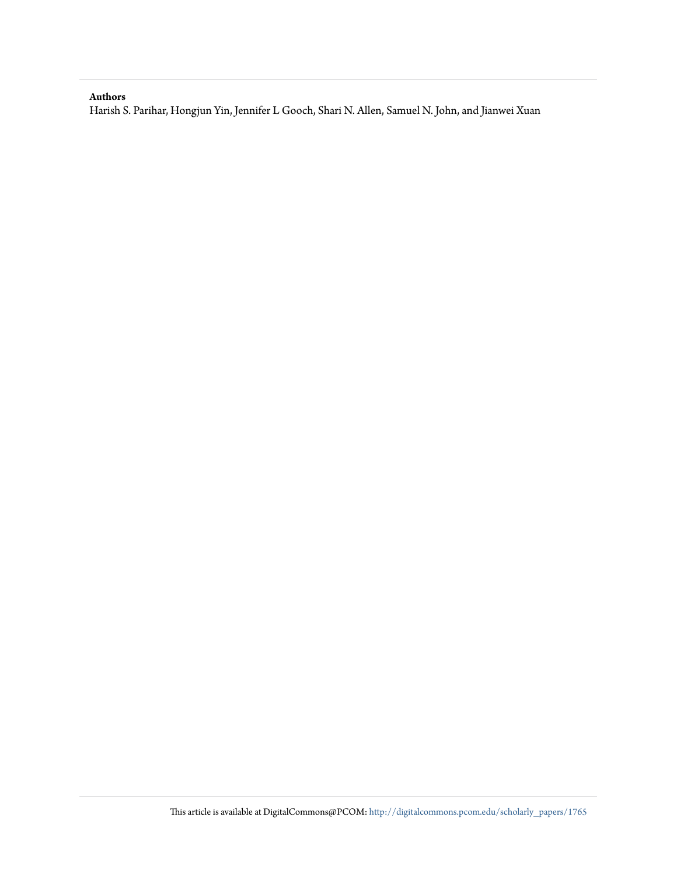### **Authors**

Harish S. Parihar, Hongjun Yin, Jennifer L Gooch, Shari N. Allen, Samuel N. John, and Jianwei Xuan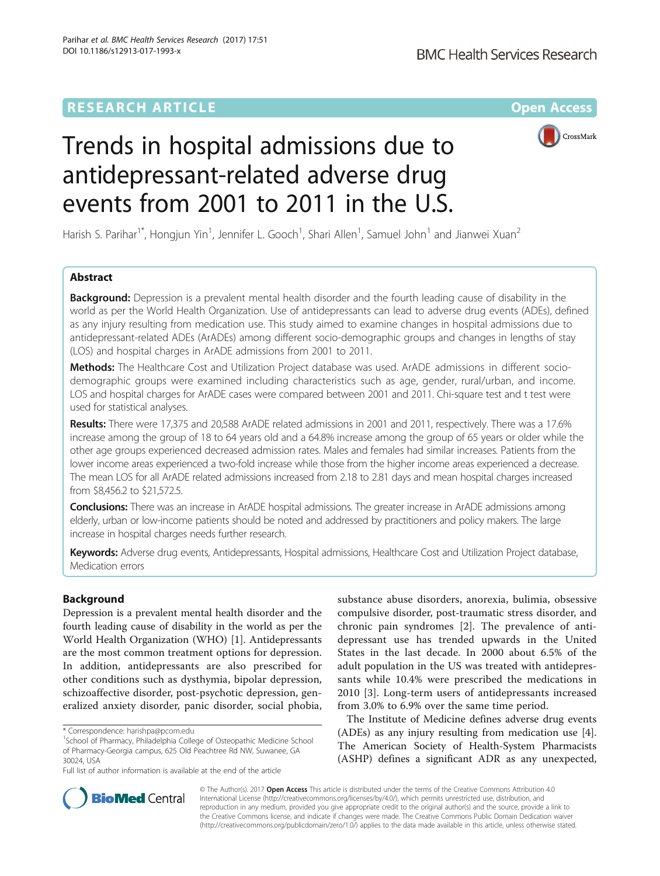## **RESEARCH ARTICLE External Structure Community Community Community Community Community Community Community Community**



# Trends in hospital admissions due to antidepressant-related adverse drug events from 2001 to 2011 in the U.S.

Harish S. Parihar<sup>1\*</sup>, Hongjun Yin<sup>1</sup>, Jennifer L. Gooch<sup>1</sup>, Shari Allen<sup>1</sup>, Samuel John<sup>1</sup> and Jianwei Xuan<sup>2</sup>

## Abstract

**Background:** Depression is a prevalent mental health disorder and the fourth leading cause of disability in the world as per the World Health Organization. Use of antidepressants can lead to adverse drug events (ADEs), defined as any injury resulting from medication use. This study aimed to examine changes in hospital admissions due to antidepressant-related ADEs (ArADEs) among different socio-demographic groups and changes in lengths of stay (LOS) and hospital charges in ArADE admissions from 2001 to 2011.

Methods: The Healthcare Cost and Utilization Project database was used. ArADE admissions in different sociodemographic groups were examined including characteristics such as age, gender, rural/urban, and income. LOS and hospital charges for ArADE cases were compared between 2001 and 2011. Chi-square test and t test were used for statistical analyses.

Results: There were 17,375 and 20,588 ArADE related admissions in 2001 and 2011, respectively. There was a 17.6% increase among the group of 18 to 64 years old and a 64.8% increase among the group of 65 years or older while the other age groups experienced decreased admission rates. Males and females had similar increases. Patients from the lower income areas experienced a two-fold increase while those from the higher income areas experienced a decrease. The mean LOS for all ArADE related admissions increased from 2.18 to 2.81 days and mean hospital charges increased from \$8,456.2 to \$21,572.5.

Conclusions: There was an increase in ArADE hospital admissions. The greater increase in ArADE admissions among elderly, urban or low-income patients should be noted and addressed by practitioners and policy makers. The large increase in hospital charges needs further research.

Keywords: Adverse drug events, Antidepressants, Hospital admissions, Healthcare Cost and Utilization Project database, Medication errors

### Background

Depression is a prevalent mental health disorder and the fourth leading cause of disability in the world as per the World Health Organization (WHO) [[1\]](#page-8-0). Antidepressants are the most common treatment options for depression. In addition, antidepressants are also prescribed for other conditions such as dysthymia, bipolar depression, schizoaffective disorder, post-psychotic depression, generalized anxiety disorder, panic disorder, social phobia,

<sup>1</sup>School of Pharmacy, Philadelphia College of Osteopathic Medicine School of Pharmacy-Georgia campus, 625 Old Peachtree Rd NW, Suwanee, GA 30024, USA

Full list of author information is available at the end of the article

substance abuse disorders, anorexia, bulimia, obsessive compulsive disorder, post-traumatic stress disorder, and chronic pain syndromes [\[2](#page-8-0)]. The prevalence of antidepressant use has trended upwards in the United States in the last decade. In 2000 about 6.5% of the adult population in the US was treated with antidepressants while 10.4% were prescribed the medications in 2010 [[3\]](#page-8-0). Long-term users of antidepressants increased from 3.0% to 6.9% over the same time period.

The Institute of Medicine defines adverse drug events (ADEs) as any injury resulting from medication use [\[4](#page-8-0)]. The American Society of Health-System Pharmacists (ASHP) defines a significant ADR as any unexpected,



© The Author(s). 2017 **Open Access** This article is distributed under the terms of the Creative Commons Attribution 4.0 International License [\(http://creativecommons.org/licenses/by/4.0/](http://creativecommons.org/licenses/by/4.0/)), which permits unrestricted use, distribution, and reproduction in any medium, provided you give appropriate credit to the original author(s) and the source, provide a link to the Creative Commons license, and indicate if changes were made. The Creative Commons Public Domain Dedication waiver [\(http://creativecommons.org/publicdomain/zero/1.0/](http://creativecommons.org/publicdomain/zero/1.0/)) applies to the data made available in this article, unless otherwise stated.

<sup>\*</sup> Correspondence: [harishpa@pcom.edu](mailto:harishpa@pcom.edu) <sup>1</sup>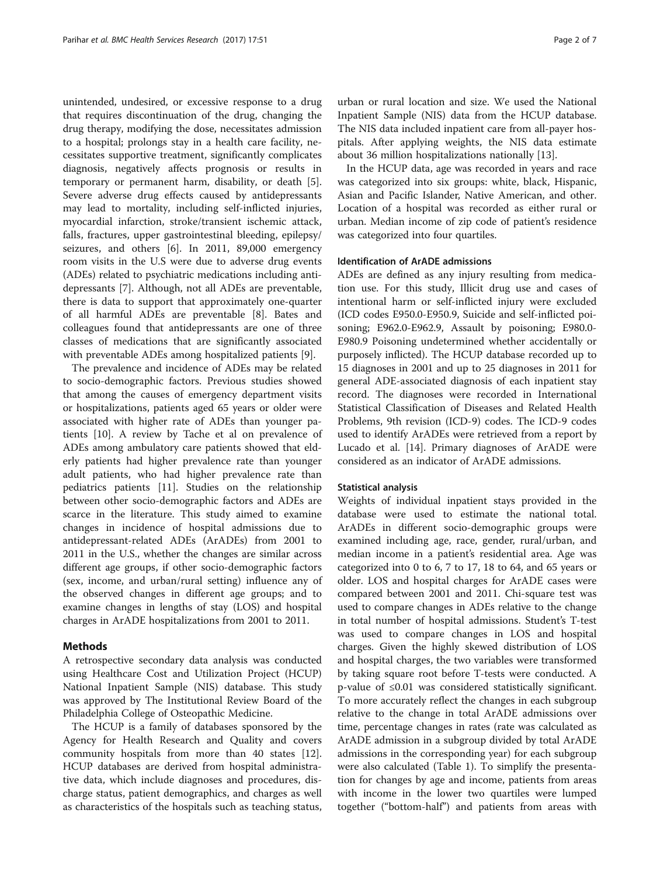unintended, undesired, or excessive response to a drug that requires discontinuation of the drug, changing the drug therapy, modifying the dose, necessitates admission to a hospital; prolongs stay in a health care facility, necessitates supportive treatment, significantly complicates diagnosis, negatively affects prognosis or results in temporary or permanent harm, disability, or death [\[5](#page-8-0)]. Severe adverse drug effects caused by antidepressants may lead to mortality, including self-inflicted injuries, myocardial infarction, stroke/transient ischemic attack, falls, fractures, upper gastrointestinal bleeding, epilepsy/ seizures, and others [[6\]](#page-8-0). In 2011, 89,000 emergency room visits in the U.S were due to adverse drug events (ADEs) related to psychiatric medications including antidepressants [[7\]](#page-8-0). Although, not all ADEs are preventable, there is data to support that approximately one-quarter of all harmful ADEs are preventable [[8\]](#page-8-0). Bates and colleagues found that antidepressants are one of three classes of medications that are significantly associated with preventable ADEs among hospitalized patients [[9\]](#page-8-0).

The prevalence and incidence of ADEs may be related to socio-demographic factors. Previous studies showed that among the causes of emergency department visits or hospitalizations, patients aged 65 years or older were associated with higher rate of ADEs than younger patients [\[10](#page-8-0)]. A review by Tache et al on prevalence of ADEs among ambulatory care patients showed that elderly patients had higher prevalence rate than younger adult patients, who had higher prevalence rate than pediatrics patients [[11\]](#page-8-0). Studies on the relationship between other socio-demographic factors and ADEs are scarce in the literature. This study aimed to examine changes in incidence of hospital admissions due to antidepressant-related ADEs (ArADEs) from 2001 to 2011 in the U.S., whether the changes are similar across different age groups, if other socio-demographic factors (sex, income, and urban/rural setting) influence any of the observed changes in different age groups; and to examine changes in lengths of stay (LOS) and hospital charges in ArADE hospitalizations from 2001 to 2011.

#### Methods

A retrospective secondary data analysis was conducted using Healthcare Cost and Utilization Project (HCUP) National Inpatient Sample (NIS) database. This study was approved by The Institutional Review Board of the Philadelphia College of Osteopathic Medicine.

The HCUP is a family of databases sponsored by the Agency for Health Research and Quality and covers community hospitals from more than 40 states [\[12](#page-8-0)]. HCUP databases are derived from hospital administrative data, which include diagnoses and procedures, discharge status, patient demographics, and charges as well as characteristics of the hospitals such as teaching status, urban or rural location and size. We used the National Inpatient Sample (NIS) data from the HCUP database. The NIS data included inpatient care from all-payer hospitals. After applying weights, the NIS data estimate about 36 million hospitalizations nationally [[13\]](#page-8-0).

In the HCUP data, age was recorded in years and race was categorized into six groups: white, black, Hispanic, Asian and Pacific Islander, Native American, and other. Location of a hospital was recorded as either rural or urban. Median income of zip code of patient's residence was categorized into four quartiles.

#### Identification of ArADE admissions

ADEs are defined as any injury resulting from medication use. For this study, Illicit drug use and cases of intentional harm or self-inflicted injury were excluded (ICD codes E950.0-E950.9, Suicide and self-inflicted poisoning; E962.0-E962.9, Assault by poisoning; E980.0- E980.9 Poisoning undetermined whether accidentally or purposely inflicted). The HCUP database recorded up to 15 diagnoses in 2001 and up to 25 diagnoses in 2011 for general ADE-associated diagnosis of each inpatient stay record. The diagnoses were recorded in International Statistical Classification of Diseases and Related Health Problems, 9th revision (ICD-9) codes. The ICD-9 codes used to identify ArADEs were retrieved from a report by Lucado et al. [\[14](#page-8-0)]. Primary diagnoses of ArADE were considered as an indicator of ArADE admissions.

#### Statistical analysis

Weights of individual inpatient stays provided in the database were used to estimate the national total. ArADEs in different socio-demographic groups were examined including age, race, gender, rural/urban, and median income in a patient's residential area. Age was categorized into 0 to 6, 7 to 17, 18 to 64, and 65 years or older. LOS and hospital charges for ArADE cases were compared between 2001 and 2011. Chi-square test was used to compare changes in ADEs relative to the change in total number of hospital admissions. Student's T-test was used to compare changes in LOS and hospital charges. Given the highly skewed distribution of LOS and hospital charges, the two variables were transformed by taking square root before T-tests were conducted. A p-value of ≤0.01 was considered statistically significant. To more accurately reflect the changes in each subgroup relative to the change in total ArADE admissions over time, percentage changes in rates (rate was calculated as ArADE admission in a subgroup divided by total ArADE admissions in the corresponding year) for each subgroup were also calculated (Table [1\)](#page-4-0). To simplify the presentation for changes by age and income, patients from areas with income in the lower two quartiles were lumped together ("bottom-half") and patients from areas with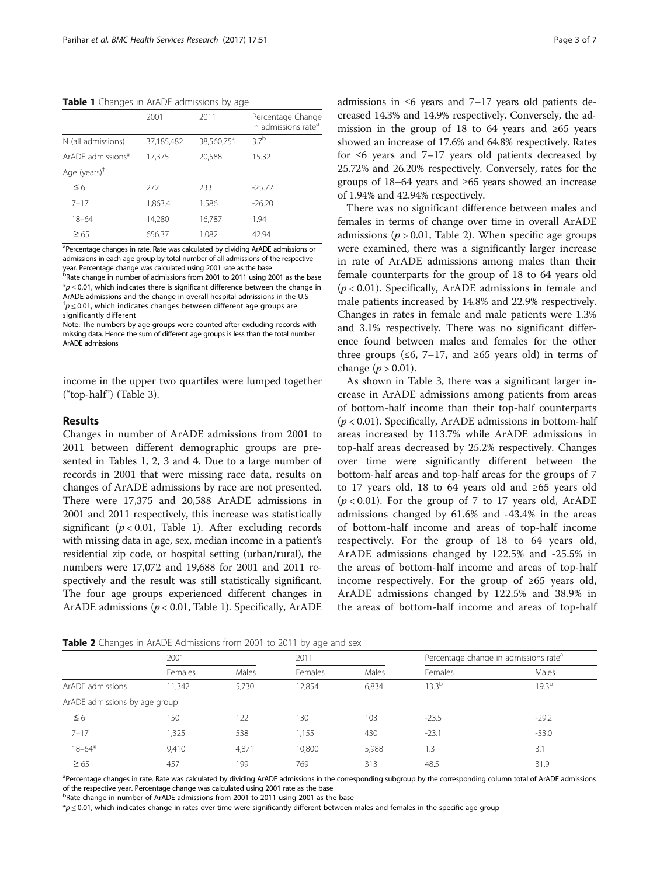<span id="page-4-0"></span>Table 1 Changes in ArADE admissions by age

|                    | 2001       | 2011       | Percentage Change<br>in admissions rate <sup>a</sup> |
|--------------------|------------|------------|------------------------------------------------------|
| N (all admissions) | 37,185,482 | 38,560,751 | 37 <sup>b</sup>                                      |
| ArADE admissions*  | 17,375     | 20,588     | 15.32                                                |
| Age $(years)^{+}$  |            |            |                                                      |
| $\leq 6$           | 272        | 233        | $-25.72$                                             |
| $7 - 17$           | 1,863.4    | 1,586      | $-26.20$                                             |
| $18 - 64$          | 14,280     | 16,787     | 1.94                                                 |
| $\geq 65$          | 656.37     | 1,082      | 42.94                                                |

<sup>a</sup>Percentage changes in rate. Rate was calculated by dividing ArADE admissions or admissions in each age group by total number of all admissions of the respective year. Percentage change was calculated using 2001 rate as the base

b<br>Rate change in number of admissions from 2001 to 2011 using 2001 as the base  $p \leq 0.01$ , which indicates there is significant difference between the change in ArADE admissions and the change in overall hospital admissions in the U.S  $\phi^{\dagger}$   $p$   $\leq$  0.01, which indicates changes between different age groups are significantly different

Note: The numbers by age groups were counted after excluding records with missing data. Hence the sum of different age groups is less than the total number ArADE admissions

income in the upper two quartiles were lumped together ("top-half") (Table [3\)](#page-5-0).

#### Results

Changes in number of ArADE admissions from 2001 to 2011 between different demographic groups are presented in Tables 1, 2, [3](#page-5-0) and [4](#page-5-0). Due to a large number of records in 2001 that were missing race data, results on changes of ArADE admissions by race are not presented. There were 17,375 and 20,588 ArADE admissions in 2001 and 2011 respectively, this increase was statistically significant ( $p < 0.01$ , Table 1). After excluding records with missing data in age, sex, median income in a patient's residential zip code, or hospital setting (urban/rural), the numbers were 17,072 and 19,688 for 2001 and 2011 respectively and the result was still statistically significant. The four age groups experienced different changes in ArADE admissions ( $p < 0.01$ , Table 1). Specifically, ArADE

admissions in ≤6 years and 7–17 years old patients decreased 14.3% and 14.9% respectively. Conversely, the admission in the group of 18 to 64 years and  $\geq 65$  years showed an increase of 17.6% and 64.8% respectively. Rates for ≤6 years and 7–17 years old patients decreased by 25.72% and 26.20% respectively. Conversely, rates for the groups of 18–64 years and ≥65 years showed an increase of 1.94% and 42.94% respectively.

There was no significant difference between males and females in terms of change over time in overall ArADE admissions ( $p > 0.01$ , Table 2). When specific age groups were examined, there was a significantly larger increase in rate of ArADE admissions among males than their female counterparts for the group of 18 to 64 years old  $(p < 0.01)$ . Specifically, ArADE admissions in female and male patients increased by 14.8% and 22.9% respectively. Changes in rates in female and male patients were 1.3% and 3.1% respectively. There was no significant difference found between males and females for the other three groups ( $\leq 6$ , 7–17, and  $\geq 65$  years old) in terms of change ( $p > 0.01$ ).

As shown in Table [3,](#page-5-0) there was a significant larger increase in ArADE admissions among patients from areas of bottom-half income than their top-half counterparts  $(p < 0.01)$ . Specifically, ArADE admissions in bottom-half areas increased by 113.7% while ArADE admissions in top-half areas decreased by 25.2% respectively. Changes over time were significantly different between the bottom-half areas and top-half areas for the groups of 7 to 17 years old, 18 to 64 years old and ≥65 years old  $(p < 0.01)$ . For the group of 7 to 17 years old, ArADE admissions changed by 61.6% and -43.4% in the areas of bottom-half income and areas of top-half income respectively. For the group of 18 to 64 years old, ArADE admissions changed by 122.5% and -25.5% in the areas of bottom-half income and areas of top-half income respectively. For the group of ≥65 years old, ArADE admissions changed by 122.5% and 38.9% in the areas of bottom-half income and areas of top-half

|                               | 2001    |       | 2011    |       | Percentage change in admissions rate <sup>a</sup> |                   |
|-------------------------------|---------|-------|---------|-------|---------------------------------------------------|-------------------|
|                               | Females | Males | Females | Males | Females                                           | Males             |
| ArADE admissions              | 11,342  | 5,730 | 12,854  | 6,834 | $13.3^{b}$                                        | 19.3 <sup>b</sup> |
| ArADE admissions by age group |         |       |         |       |                                                   |                   |
| $\leq 6$                      | 150     | 122   | 130     | 103   | $-23.5$                                           | $-29.2$           |
| $7 - 17$                      | 1.325   | 538   | 1,155   | 430   | $-23.1$                                           | $-33.0$           |
| $18 - 64*$                    | 9.410   | 4,871 | 10,800  | 5,988 | 1.3                                               | 3.1               |
| $\geq 65$                     | 457     | 199   | 769     | 313   | 48.5                                              | 31.9              |

Table 2 Changes in ArADE Admissions from 2001 to 2011 by age and sex

<sup>a</sup>Percentage changes in rate. Rate was calculated by dividing ArADE admissions in the corresponding subgroup by the corresponding column total of ArADE admissions of the respective year. Percentage change was calculated using 2001 rate as the base

<sup>b</sup>Rate change in number of ArADE admissions from 2001 to 2011 using 2001 as the base

\*p ≤ 0.01, which indicates change in rates over time were significantly different between males and females in the specific age group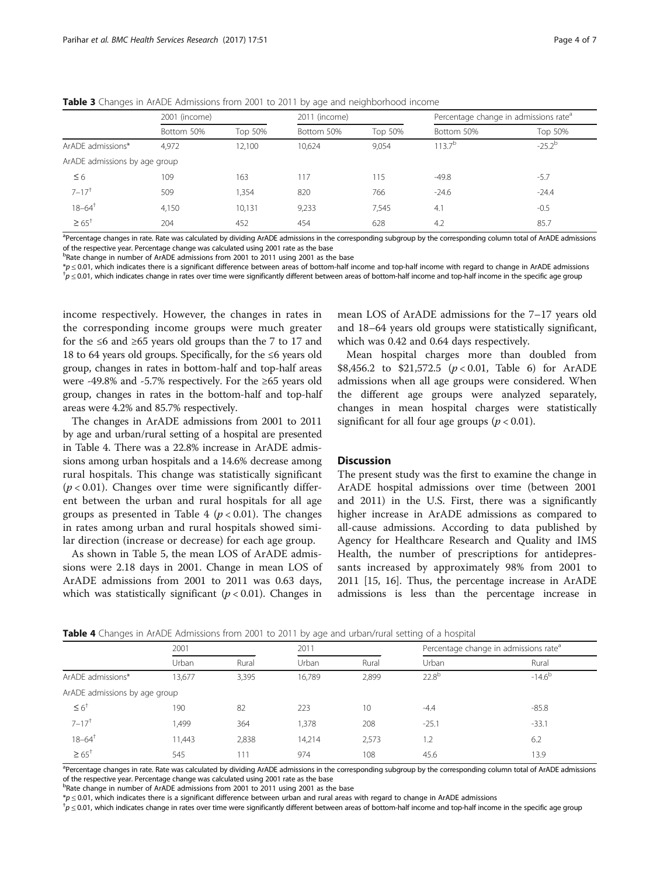|                               | 2001 (income) |         | 2011 (income) |         | Percentage change in admissions rate <sup>a</sup> |             |
|-------------------------------|---------------|---------|---------------|---------|---------------------------------------------------|-------------|
|                               | Bottom 50%    | Top 50% | Bottom 50%    | Top 50% | Bottom 50%                                        | Top 50%     |
| ArADE admissions*             | 4,972         | 12,100  | 10,624        | 9,054   | $113.7^{b}$                                       | $-25.2^{b}$ |
| ArADE admissions by age group |               |         |               |         |                                                   |             |
| $\leq 6$                      | 109           | 163     | 117           | 115     | $-49.8$                                           | $-5.7$      |
| $7 - 17$ <sup>+</sup>         | 509           | .354    | 820           | 766     | $-24.6$                                           | $-24.4$     |
| $18 - 64$ <sup>+</sup>        | 4,150         | 10,131  | 9,233         | 7,545   | 4.1                                               | $-0.5$      |
| $\geq 65^{+}$                 | 204           | 452     | 454           | 628     | 4.2                                               | 85.7        |

<span id="page-5-0"></span>**Table 3** Changes in ArADE Admissions from 2001 to 2011 by age and neighborhood income

<sup>a</sup>Percentage changes in rate. Rate was calculated by dividing ArADE admissions in the corresponding subgroup by the corresponding column total of ArADE admissions of the respective year. Percentage change was calculated using 2001 rate as the base

<sup>b</sup>Rate change in number of ArADE admissions from 2001 to 2011 using 2001 as the base

\*<sup>p</sup> <sup>≤</sup> 0.01, which indicates there is a significant difference between areas of bottom-half income and top-half income with regard to change in ArADE admissions †  $^{\dagger}p$   $\leq$  0.01, which indicates change in rates over time were significantly different between areas of bottom-half income and top-half income in the specific age group

income respectively. However, the changes in rates in the corresponding income groups were much greater for the  $\leq 6$  and  $\geq 65$  years old groups than the 7 to 17 and 18 to 64 years old groups. Specifically, for the ≤6 years old group, changes in rates in bottom-half and top-half areas were -49.8% and -5.7% respectively. For the ≥65 years old group, changes in rates in the bottom-half and top-half areas were 4.2% and 85.7% respectively.

The changes in ArADE admissions from 2001 to 2011 by age and urban/rural setting of a hospital are presented in Table 4. There was a 22.8% increase in ArADE admissions among urban hospitals and a 14.6% decrease among rural hospitals. This change was statistically significant  $(p < 0.01)$ . Changes over time were significantly different between the urban and rural hospitals for all age groups as presented in Table 4 ( $p < 0.01$ ). The changes in rates among urban and rural hospitals showed similar direction (increase or decrease) for each age group.

As shown in Table [5,](#page-6-0) the mean LOS of ArADE admissions were 2.18 days in 2001. Change in mean LOS of ArADE admissions from 2001 to 2011 was 0.63 days, which was statistically significant ( $p < 0.01$ ). Changes in

mean LOS of ArADE admissions for the 7–17 years old and 18–64 years old groups were statistically significant, which was 0.42 and 0.64 days respectively.

Mean hospital charges more than doubled from \$8,456.2 to \$21,572.5  $(p < 0.01$ , Table [6\)](#page-6-0) for ArADE admissions when all age groups were considered. When the different age groups were analyzed separately, changes in mean hospital charges were statistically significant for all four age groups ( $p < 0.01$ ).

#### **Discussion**

The present study was the first to examine the change in ArADE hospital admissions over time (between 2001 and 2011) in the U.S. First, there was a significantly higher increase in ArADE admissions as compared to all-cause admissions. According to data published by Agency for Healthcare Research and Quality and IMS Health, the number of prescriptions for antidepressants increased by approximately 98% from 2001 to 2011 [[15](#page-8-0), [16](#page-8-0)]. Thus, the percentage increase in ArADE admissions is less than the percentage increase in

| <b>Table 4</b> Changes in ArADE Admissions from 2001 to 2011 by age and urban/rural setting of a hospital |  |
|-----------------------------------------------------------------------------------------------------------|--|
|                                                                                                           |  |

|                               | 2001   |       | 2011   |       |            | Percentage change in admissions rate <sup>a</sup> |  |
|-------------------------------|--------|-------|--------|-------|------------|---------------------------------------------------|--|
|                               | Urban  | Rural | Urban  | Rural | Urban      | Rural                                             |  |
| ArADE admissions*             | 13,677 | 3,395 | 16,789 | 2,899 | $22.8^{b}$ | $-14.6^{b}$                                       |  |
| ArADE admissions by age group |        |       |        |       |            |                                                   |  |
| $\leq 6^+$                    | 190    | 82    | 223    | 10    | $-4.4$     | $-85.8$                                           |  |
| $7 - 17$ <sup>+</sup>         | 499,   | 364   | 1,378  | 208   | $-25.1$    | $-33.1$                                           |  |
| $18 - 64$ <sup>+</sup>        | 11.443 | 2,838 | 14.214 | 2,573 | 1.2        | 6.2                                               |  |
| $\geq 65^{+}$                 | 545    | 111   | 974    | 108   | 45.6       | 13.9                                              |  |

<sup>a</sup>Percentage changes in rate. Rate was calculated by dividing ArADE admissions in the corresponding subgroup by the corresponding column total of ArADE admissions of the respective year. Percentage change was calculated using 2001 rate as the base

<sup>b</sup>Rate change in number of ArADE admissions from 2001 to 2011 using 2001 as the base

 $*_p \le 0.01$ , which indicates there is a significant difference between urban and rural areas with regard to change in ArADE admissions

 $\hbar \geq 0.01$ , which indicates change in rates over time were significantly different between areas of bottom-half income and top-half income in the specific age group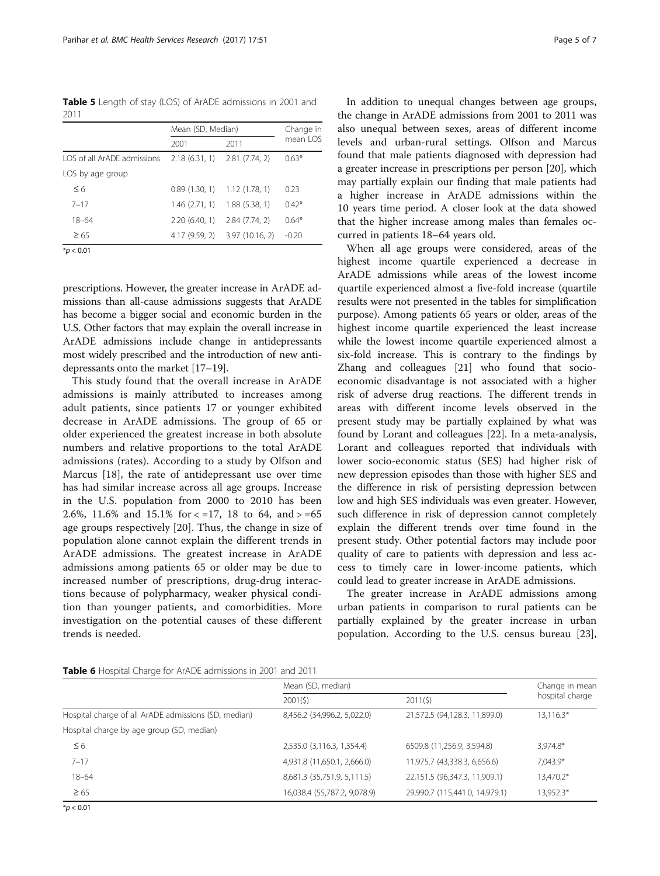<span id="page-6-0"></span>Table 5 Length of stay (LOS) of ArADE admissions in 2001 and 2011

|                             | Mean (SD, Median) | Change in                       |          |  |
|-----------------------------|-------------------|---------------------------------|----------|--|
|                             | 2001              | 2011                            | mean LOS |  |
| LOS of all ArADE admissions |                   | $2.18(6.31, 1)$ $2.81(7.74, 2)$ | $0.63*$  |  |
| LOS by age group            |                   |                                 |          |  |
| $\leq 6$                    | 0.89(1.30, 1)     | 1.12(1.78, 1)                   | 0.23     |  |
| $7 - 17$                    | 1.46(2.71, 1)     | 1.88(5.38, 1)                   | $0.42*$  |  |
| $18 - 64$                   | 2.20(6.40, 1)     | 2.84(7.74, 2)                   | $0.64*$  |  |
| $\geq 65$                   |                   | 4.17 (9.59, 2) 3.97 (10.16, 2)  | $-0.20$  |  |
| $*_{D}$ < 0.01              |                   |                                 |          |  |

prescriptions. However, the greater increase in ArADE admissions than all-cause admissions suggests that ArADE has become a bigger social and economic burden in the U.S. Other factors that may explain the overall increase in ArADE admissions include change in antidepressants most widely prescribed and the introduction of new antidepressants onto the market [\[17](#page-8-0)–[19](#page-8-0)].

This study found that the overall increase in ArADE admissions is mainly attributed to increases among adult patients, since patients 17 or younger exhibited decrease in ArADE admissions. The group of 65 or older experienced the greatest increase in both absolute numbers and relative proportions to the total ArADE admissions (rates). According to a study by Olfson and Marcus [[18\]](#page-8-0), the rate of antidepressant use over time has had similar increase across all age groups. Increase in the U.S. population from 2000 to 2010 has been 2.6%, 11.6% and 15.1% for  $\lt$  =17, 18 to 64, and  $>$  =65 age groups respectively [[20\]](#page-8-0). Thus, the change in size of population alone cannot explain the different trends in ArADE admissions. The greatest increase in ArADE admissions among patients 65 or older may be due to increased number of prescriptions, drug-drug interactions because of polypharmacy, weaker physical condition than younger patients, and comorbidities. More investigation on the potential causes of these different trends is needed.

In addition to unequal changes between age groups, the change in ArADE admissions from 2001 to 2011 was also unequal between sexes, areas of different income levels and urban-rural settings. Olfson and Marcus found that male patients diagnosed with depression had a greater increase in prescriptions per person [\[20\]](#page-8-0), which may partially explain our finding that male patients had a higher increase in ArADE admissions within the 10 years time period. A closer look at the data showed that the higher increase among males than females occurred in patients 18–64 years old.

When all age groups were considered, areas of the highest income quartile experienced a decrease in ArADE admissions while areas of the lowest income quartile experienced almost a five-fold increase (quartile results were not presented in the tables for simplification purpose). Among patients 65 years or older, areas of the highest income quartile experienced the least increase while the lowest income quartile experienced almost a six-fold increase. This is contrary to the findings by Zhang and colleagues [\[21](#page-8-0)] who found that socioeconomic disadvantage is not associated with a higher risk of adverse drug reactions. The different trends in areas with different income levels observed in the present study may be partially explained by what was found by Lorant and colleagues [[22](#page-8-0)]. In a meta-analysis, Lorant and colleagues reported that individuals with lower socio-economic status (SES) had higher risk of new depression episodes than those with higher SES and the difference in risk of persisting depression between low and high SES individuals was even greater. However, such difference in risk of depression cannot completely explain the different trends over time found in the present study. Other potential factors may include poor quality of care to patients with depression and less access to timely care in lower-income patients, which could lead to greater increase in ArADE admissions.

The greater increase in ArADE admissions among urban patients in comparison to rural patients can be partially explained by the greater increase in urban population. According to the U.S. census bureau [\[23](#page-8-0)],

|                                                      | Mean (SD, median)            | Change in mean                 |                 |  |
|------------------------------------------------------|------------------------------|--------------------------------|-----------------|--|
|                                                      | 2001(5)                      | 2011(5)                        | hospital charge |  |
| Hospital charge of all ArADE admissions (SD, median) | 8,456.2 (34,996.2, 5,022.0)  | 21,572.5 (94,128.3, 11,899.0)  | $13,116.3*$     |  |
| Hospital charge by age group (SD, median)            |                              |                                |                 |  |
| $\leq 6$                                             | 2,535.0 (3,116.3, 1,354.4)   | 6509.8 (11,256.9, 3,594.8)     | 3,974.8*        |  |
| $7 - 17$                                             | 4,931.8 (11,650.1, 2,666.0)  | 11,975.7 (43,338.3, 6,656.6)   | 7,043.9*        |  |
| $18 - 64$                                            | 8,681.3 (35,751.9, 5,111.5)  | 22,151.5 (96,347.3, 11,909.1)  | 13,470.2*       |  |
| $\geq 65$                                            | 16,038.4 (55,787.2, 9,078.9) | 29,990.7 (115,441.0, 14,979.1) | 13,952.3*       |  |

 $*$ *p* < 0.01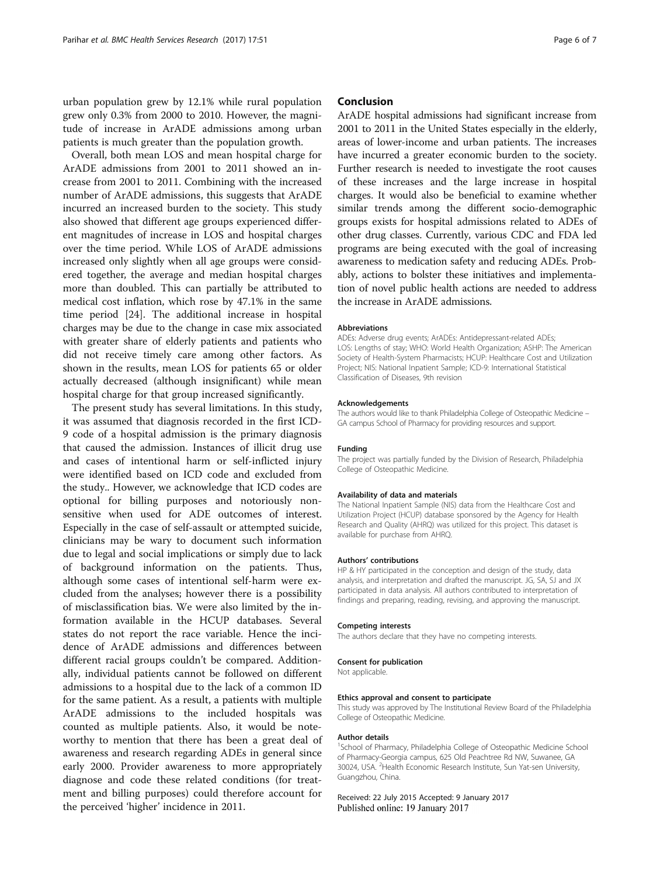urban population grew by 12.1% while rural population grew only 0.3% from 2000 to 2010. However, the magnitude of increase in ArADE admissions among urban patients is much greater than the population growth.

Overall, both mean LOS and mean hospital charge for ArADE admissions from 2001 to 2011 showed an increase from 2001 to 2011. Combining with the increased number of ArADE admissions, this suggests that ArADE incurred an increased burden to the society. This study also showed that different age groups experienced different magnitudes of increase in LOS and hospital charges over the time period. While LOS of ArADE admissions increased only slightly when all age groups were considered together, the average and median hospital charges more than doubled. This can partially be attributed to medical cost inflation, which rose by 47.1% in the same time period [\[24\]](#page-8-0). The additional increase in hospital charges may be due to the change in case mix associated with greater share of elderly patients and patients who did not receive timely care among other factors. As shown in the results, mean LOS for patients 65 or older actually decreased (although insignificant) while mean hospital charge for that group increased significantly.

The present study has several limitations. In this study, it was assumed that diagnosis recorded in the first ICD-9 code of a hospital admission is the primary diagnosis that caused the admission. Instances of illicit drug use and cases of intentional harm or self-inflicted injury were identified based on ICD code and excluded from the study.. However, we acknowledge that ICD codes are optional for billing purposes and notoriously nonsensitive when used for ADE outcomes of interest. Especially in the case of self-assault or attempted suicide, clinicians may be wary to document such information due to legal and social implications or simply due to lack of background information on the patients. Thus, although some cases of intentional self-harm were excluded from the analyses; however there is a possibility of misclassification bias. We were also limited by the information available in the HCUP databases. Several states do not report the race variable. Hence the incidence of ArADE admissions and differences between different racial groups couldn't be compared. Additionally, individual patients cannot be followed on different admissions to a hospital due to the lack of a common ID for the same patient. As a result, a patients with multiple ArADE admissions to the included hospitals was counted as multiple patients. Also, it would be noteworthy to mention that there has been a great deal of awareness and research regarding ADEs in general since early 2000. Provider awareness to more appropriately diagnose and code these related conditions (for treatment and billing purposes) could therefore account for the perceived 'higher' incidence in 2011.

#### Conclusion

ArADE hospital admissions had significant increase from 2001 to 2011 in the United States especially in the elderly, areas of lower-income and urban patients. The increases have incurred a greater economic burden to the society. Further research is needed to investigate the root causes of these increases and the large increase in hospital charges. It would also be beneficial to examine whether similar trends among the different socio-demographic groups exists for hospital admissions related to ADEs of other drug classes. Currently, various CDC and FDA led programs are being executed with the goal of increasing awareness to medication safety and reducing ADEs. Probably, actions to bolster these initiatives and implementation of novel public health actions are needed to address the increase in ArADE admissions.

#### Abbreviations

ADEs: Adverse drug events; ArADEs: Antidepressant-related ADEs; LOS: Lengths of stay; WHO: World Health Organization; ASHP: The American Society of Health-System Pharmacists; HCUP: Healthcare Cost and Utilization Project; NIS: National Inpatient Sample; ICD-9: International Statistical Classification of Diseases, 9th revision

#### Acknowledgements

The authors would like to thank Philadelphia College of Osteopathic Medicine – GA campus School of Pharmacy for providing resources and support.

#### Funding

The project was partially funded by the Division of Research, Philadelphia College of Osteopathic Medicine.

#### Availability of data and materials

The National Inpatient Sample (NIS) data from the Healthcare Cost and Utilization Project (HCUP) database sponsored by the Agency for Health Research and Quality (AHRQ) was utilized for this project. This dataset is available for purchase from AHRQ.

#### Authors' contributions

HP & HY participated in the conception and design of the study, data analysis, and interpretation and drafted the manuscript. JG, SA, SJ and JX participated in data analysis. All authors contributed to interpretation of findings and preparing, reading, revising, and approving the manuscript.

#### Competing interests

The authors declare that they have no competing interests.

#### Consent for publication

Not applicable.

#### Ethics approval and consent to participate

This study was approved by The Institutional Review Board of the Philadelphia College of Osteopathic Medicine.

#### Author details

<sup>1</sup>School of Pharmacy, Philadelphia College of Osteopathic Medicine School of Pharmacy-Georgia campus, 625 Old Peachtree Rd NW, Suwanee, GA 30024, USA. <sup>2</sup> Health Economic Research Institute, Sun Yat-sen University Guangzhou, China.

Received: 22 July 2015 Accepted: 9 January 2017 Published online: 19 January 2017